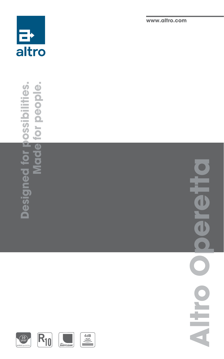

for people. **Designed for possibilities. Designed for possibilities. Made for people.** Made

**www.altro.com**

**Altro Operetta** O  $\overline{\bullet}$ ÌK





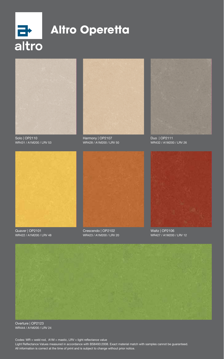



Solo | OP2110 WR431 / A1M200 / LRV 53



Harmony | OP2107 WR428 / A1M200 / LRV 50



Duo | OP2111 WR432 / A1M200 / LRV 26



Quaver | OP2101 WR422 / A1M200 / LRV 48



Crescendo | OP2102 WR423 / A1M200 / LRV 20



Waltz | OP2106 WR427 / A1M200 / LRV 12



Overture | OP2123 WR444 / A1M200 / LRV 24

Codes: WR = weld rod, A1M = mastic, LRV = light reflectance value Light Reflectance Values measured in accordance with BS8493:2008. Exact material match with samples cannot be guaranteed. All information is correct at the time of print and is subject to change without prior notice.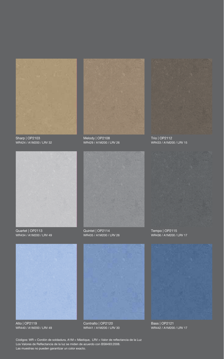

Sharp | OP2103 WR424 / A1M200 / LRV 32



Melody | OP2108 WR429 / A1M200 / LRV 26



Quintet | OP2114 WR435 / A1M200 / LRV 26



Trio | OP2112 WR433 / A1M200 / LRV 15







Bass | OP2121 WR442 / A1M200 / LRV 17



Quartet | OP2113 WR434 / A1M200 / LRV 49



Alto | OP2119 WR440 / A1M200 / LRV 49



Contralto | OP2120 WR441 / A1M200 / LRV 30

Códigos: WR = Cordón de soldadura, A1M = Mástique, LRV = Valor de reflectancia de la Luz Los Valores de Reflectancia de la luz se miden de acuerdo con BS8493:2008. Las muestras no pueden garantizar un color exacto.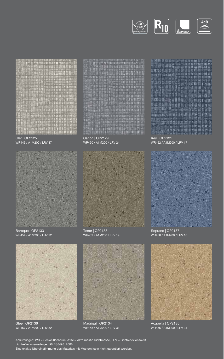



Clef | OP2125 WR446 / A1M200 / LRV 37



Baroque | OP2133 WR454 / A1M200 / LRV 22



Glee | OP2136 WR457 / A1M200 / LRV 52



Canon | OP2129 WR450 / A1M200 / LRV 24



Tenor | OP2138 WR459 / A1M200 / LRV 19

ь



Key | OP2131 WR452 / A1M200 / LRV 17



Soprano | OP2137 WR458 / A1M200 / LRV 18



Acapella | OP2135 WR456 / A1M200 / LRV 34

Abkürzungen: WR = Schweißschnüre, A1M = Altro mastic Dichtmasse, LRV = Lichtreflexionswert Lichtreflexionswerte gemäß BS8493: 2008. Eine exakte Übereinstimmung des Materials mit Mustern kann nicht garantiert werden.

Madrigal | OP2134 WR455 / A1M200 / LRV 31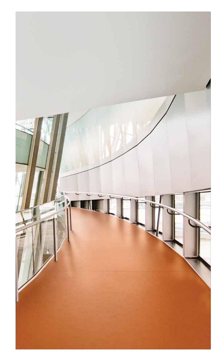